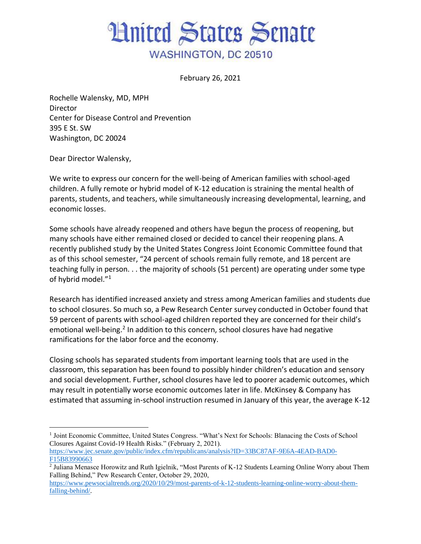## **Hnited States Senate** WASHINGTON, DC 20510

February 26, 2021

Rochelle Walensky, MD, MPH **Director** Center for Disease Control and Prevention 395 E St. SW Washington, DC 20024

Dear Director Walensky,

We write to express our concern for the well-being of American families with school-aged children. A fully remote or hybrid model of K-12 education is straining the mental health of parents, students, and teachers, while simultaneously increasing developmental, learning, and economic losses.

Some schools have already reopened and others have begun the process of reopening, but many schools have either remained closed or decided to cancel their reopening plans. A recently published study by the United States Congress Joint Economic Committee found that as of this school semester, "24 percent of schools remain fully remote, and 18 percent are teaching fully in person. . . the majority of schools (51 percent) are operating under some type of hybrid model."<sup>1</sup>

Research has identified increased anxiety and stress among American families and students due to school closures. So much so, a Pew Research Center survey conducted in October found that 59 percent of parents with school-aged children reported they are concerned for their child's emotional well-being.<sup>2</sup> In addition to this concern, school closures have had negative ramifications for the labor force and the economy.

Closing schools has separated students from important learning tools that are used in the classroom, this separation has been found to possibly hinder children's education and sensory and social development. Further, school closures have led to poorer academic outcomes, which may result in potentially worse economic outcomes later in life. McKinsey & Company has estimated that assuming in-school instruction resumed in January of this year, the average K-12

<sup>&</sup>lt;sup>1</sup> Joint Economic Committee, United States Congress. "What's Next for Schools: Blanacing the Costs of School Closures Against Covid-19 Health Risks." (February 2, 2021).

[https://www.jec.senate.gov/public/index.cfm/republicans/analysis?ID=33BC87AF-9E6A-4EAD-BAD0-](https://www.jec.senate.gov/public/index.cfm/republicans/analysis?ID=33BC87AF-9E6A-4EAD-BAD0-F15B83990663) [F15B83990663](https://www.jec.senate.gov/public/index.cfm/republicans/analysis?ID=33BC87AF-9E6A-4EAD-BAD0-F15B83990663)

<sup>&</sup>lt;sup>2</sup> Juliana Menasce Horowitz and Ruth Igielnik, "Most Parents of K-12 Students Learning Online Worry about Them Falling Behind," Pew Research Center, October 29, 2020,

[https://www.pewsocialtrends.org/2020/10/29/most-parents-of-k-12-students-learning-online-worry-about-them](https://www.pewsocialtrends.org/2020/10/29/most-parents-of-k-12-students-learning-online-worry-about-them-falling-behind/)[falling-behind/.](https://www.pewsocialtrends.org/2020/10/29/most-parents-of-k-12-students-learning-online-worry-about-them-falling-behind/)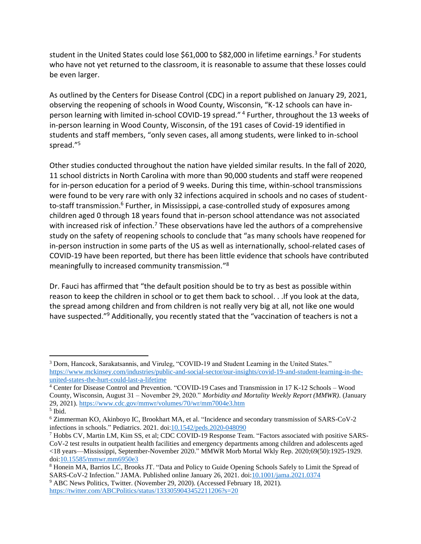student in the United States could lose \$61,000 to \$82,000 in lifetime earnings.<sup>3</sup> For students who have not yet returned to the classroom, it is reasonable to assume that these losses could be even larger.

As outlined by the Centers for Disease Control (CDC) in a report published on January 29, 2021, observing the reopening of schools in Wood County, Wisconsin, "K-12 schools can have inperson learning with limited in-school COVID-19 spread." <sup>4</sup> Further, throughout the 13 weeks of in-person learning in Wood County, Wisconsin, of the 191 cases of Covid-19 identified in students and staff members, "only seven cases, all among students, were linked to in-school spread."<sup>5</sup>

Other studies conducted throughout the nation have yielded similar results. In the fall of 2020, 11 school districts in North Carolina with more than 90,000 students and staff were reopened for in-person education for a period of 9 weeks. During this time, within-school transmissions were found to be very rare with only 32 infections acquired in schools and no cases of studentto-staff transmission.<sup>6</sup> Further, in Mississippi, a case-controlled study of exposures among children aged 0 through 18 years found that in-person school attendance was not associated with increased risk of infection.<sup>7</sup> These observations have led the authors of a comprehensive study on the safety of reopening schools to conclude that "as many schools have reopened for in-person instruction in some parts of the US as well as internationally, school-related cases of COVID-19 have been reported, but there has been little evidence that schools have contributed meaningfully to increased community transmission." 8

Dr. Fauci has affirmed that "the default position should be to try as best as possible within reason to keep the children in school or to get them back to school. . .If you look at the data, the spread among children and from children is not really very big at all, not like one would have suspected."<sup>9</sup> Additionally, you recently stated that the "vaccination of teachers is not a

<sup>&</sup>lt;sup>3</sup> Dorn, Hancock, Sarakatsannis, and Viruleg, "COVID-19 and Student Learning in the United States." [https://www.mckinsey.com/industries/public-and-social-sector/our-insights/covid-19-and-student-learning-in-the](https://www.mckinsey.com/industries/public-and-social-sector/our-insights/covid-19-and-student-learning-in-the-united-states-the-hurt-could-last-a-lifetime)[united-states-the-hurt-could-last-a-lifetime](https://www.mckinsey.com/industries/public-and-social-sector/our-insights/covid-19-and-student-learning-in-the-united-states-the-hurt-could-last-a-lifetime)

<sup>4</sup> Center for Disease Control and Prevention. "COVID-19 Cases and Transmission in 17 K-12 Schools – Wood County, Wisconsin, August 31 – November 29, 2020." *Morbidity and Mortality Weekly Report (MMWR)*. (January 29, 2021).<https://www.cdc.gov/mmwr/volumes/70/wr/mm7004e3.htm>

<sup>5</sup> Ibid.

<sup>6</sup> Zimmerman KO, Akinboyo IC, Brookhart MA, et al. "Incidence and secondary transmission of SARS-CoV-2 infections in schools." Pediatrics. 2021. do[i:10.1542/peds.2020-048090](http://dx.doi.org/10.1542/peds.2020-048090)

<sup>7</sup> Hobbs CV, Martin LM, Kim SS, et al; CDC COVID-19 Response Team. "Factors associated with positive SARS-CoV-2 test results in outpatient health facilities and emergency departments among children and adolescents aged <18 years—Mississippi, September-November 2020." MMWR Morb Mortal Wkly Rep. 2020;69(50):1925-1929. doi[:10.15585/mmwr.mm6950e3](http://dx.doi.org/10.15585/mmwr.mm6950e3)

<sup>&</sup>lt;sup>8</sup> Honein MA, Barrios LC, Brooks JT. "Data and Policy to Guide Opening Schools Safely to Limit the Spread of SARS-CoV-2 Infection." JAMA. Published online January 26, 2021. doi[:10.1001/jama.2021.0374](https://jamanetwork.com/journals/jama/fullarticle/2775875?guestAccessKey=9961f22d-99e6-4861-8fa6-cf0b3463ef92&utm_source=For_The_Media&utm_medium=referral&utm_campaign=ftm_links&utm_content=tfl&utm_term=012621)

<sup>&</sup>lt;sup>9</sup> ABC News Politics, Twitter. (November 29, 2020). (Accessed February 18, 2021). <https://twitter.com/ABCPolitics/status/1333059043452211206?s=20>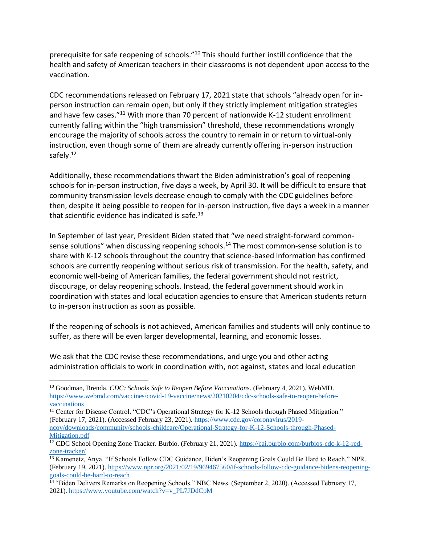prerequisite for safe reopening of schools."<sup>10</sup> This should further instill confidence that the health and safety of American teachers in their classrooms is not dependent upon access to the vaccination.

CDC recommendations released on February 17, 2021 state that schools "already open for inperson instruction can remain open, but only if they strictly implement mitigation strategies and have few cases."<sup>11</sup> With more than 70 percent of nationwide K-12 student enrollment currently falling within the "high transmission" threshold, these recommendations wrongly encourage the majority of schools across the country to remain in or return to virtual-only instruction, even though some of them are already currently offering in-person instruction safely.<sup>12</sup>

Additionally, these recommendations thwart the Biden administration's goal of reopening schools for in-person instruction, five days a week, by April 30. It will be difficult to ensure that community transmission levels decrease enough to comply with the CDC guidelines before then, despite it being possible to reopen for in-person instruction, five days a week in a manner that scientific evidence has indicated is safe. $^{13}$ 

In September of last year, President Biden stated that "we need straight-forward commonsense solutions" when discussing reopening schools.<sup>14</sup> The most common-sense solution is to share with K-12 schools throughout the country that science-based information has confirmed schools are currently reopening without serious risk of transmission. For the health, safety, and economic well-being of American families, the federal government should not restrict, discourage, or delay reopening schools. Instead, the federal government should work in coordination with states and local education agencies to ensure that American students return to in-person instruction as soon as possible.

If the reopening of schools is not achieved, American families and students will only continue to suffer, as there will be even larger developmental, learning, and economic losses.

We ask that the CDC revise these recommendations, and urge you and other acting administration officials to work in coordination with, not against, states and local education

<sup>10</sup> Goodman, Brenda. *CDC: Schools Safe to Reopen Before Vaccinations*. (February 4, 2021). WebMD. [https://www.webmd.com/vaccines/covid-19-vaccine/news/20210204/cdc-schools-safe-to-reopen-before](https://www.webmd.com/vaccines/covid-19-vaccine/news/20210204/cdc-schools-safe-to-reopen-before-vaccinations)[vaccinations](https://www.webmd.com/vaccines/covid-19-vaccine/news/20210204/cdc-schools-safe-to-reopen-before-vaccinations)

<sup>&</sup>lt;sup>11</sup> Center for Disease Control. "CDC's Operational Strategy for K-12 Schools through Phased Mitigation." (February 17, 2021). (Accessed February 23, 2021). [https://www.cdc.gov/coronavirus/2019-](https://www.cdc.gov/coronavirus/2019-ncov/downloads/community/schools-childcare/Operational-Strategy-for-K-12-Schools-through-Phased-Mitigation.pdf)

[ncov/downloads/community/schools-childcare/Operational-Strategy-for-K-12-Schools-through-Phased-](https://www.cdc.gov/coronavirus/2019-ncov/downloads/community/schools-childcare/Operational-Strategy-for-K-12-Schools-through-Phased-Mitigation.pdf)[Mitigation.pdf](https://www.cdc.gov/coronavirus/2019-ncov/downloads/community/schools-childcare/Operational-Strategy-for-K-12-Schools-through-Phased-Mitigation.pdf)

<sup>12</sup> CDC School Opening Zone Tracker. Burbio. (February 21, 2021). [https://cai.burbio.com/burbios-cdc-k-12-red](https://cai.burbio.com/burbios-cdc-k-12-red-zone-tracker/)[zone-tracker/](https://cai.burbio.com/burbios-cdc-k-12-red-zone-tracker/)

<sup>13</sup> Kamenetz, Anya. "If Schools Follow CDC Guidance, Biden's Reopening Goals Could Be Hard to Reach." NPR. (February 19, 2021). [https://www.npr.org/2021/02/19/969467560/if-schools-follow-cdc-guidance-bidens-reopening](https://www.npr.org/2021/02/19/969467560/if-schools-follow-cdc-guidance-bidens-reopening-goals-could-be-hard-to-reach)[goals-could-be-hard-to-reach](https://www.npr.org/2021/02/19/969467560/if-schools-follow-cdc-guidance-bidens-reopening-goals-could-be-hard-to-reach)

<sup>&</sup>lt;sup>14</sup> "Biden Delivers Remarks on Reopening Schools." NBC News. (September 2, 2020). (Accessed February 17, 2021). [https://www.youtube.com/watch?v=v\\_PL7JDdCpM](https://www.youtube.com/watch?v=v_PL7JDdCpM)